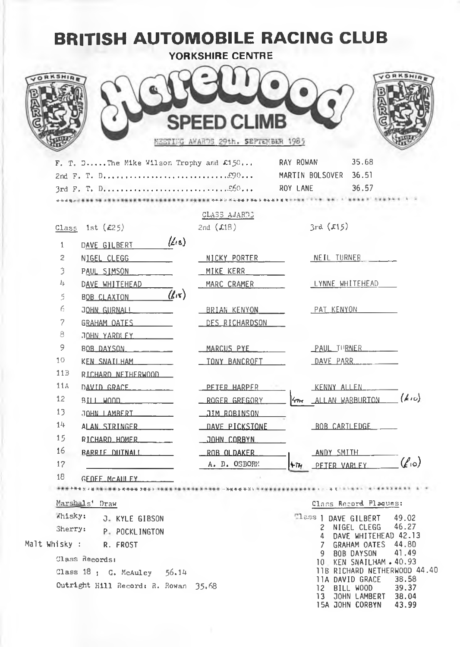| <b>BRITISH AUTOMOBILE RACING CLUB</b>                              | <b>YORKSHIRE CENTRE</b>                            |                                                                                                     |
|--------------------------------------------------------------------|----------------------------------------------------|-----------------------------------------------------------------------------------------------------|
|                                                                    | SPEED CLIMB<br>MEETING AWARDS 29th. SEPTEMBER 1985 |                                                                                                     |
| $F. T. D.$ The Mike Wilson Trophy and $\mathcal{L}150$             |                                                    | 35.68<br>RAY ROWAN<br>MARTIN BOLSOVER 36.51<br>36.57<br>ROY LANE                                    |
|                                                                    | CLASS AWARDS                                       |                                                                                                     |
| Class 1st $(E25)$                                                  | 2nd $(L18)$                                        | 3rd(515)                                                                                            |
| $(\mathcal{L}_{18})$<br>$\mathbf{1}$<br>DAVE GILBERT               |                                                    |                                                                                                     |
| 2<br>NIGEL CLEGG                                                   | NICKY PORTER                                       | NEIL TURNER                                                                                         |
| 3<br>PAUL SIMSON                                                   | MIKE KERR                                          |                                                                                                     |
| 4<br>DAVE WHITEHEAD                                                | MARC CRAMER                                        | LYNNE WHITEHEAD                                                                                     |
| $(k\pi)$<br>5<br><b>BOB CLAXTON</b>                                |                                                    |                                                                                                     |
| 6<br>JOHN GURNALL <b>Andrew Street Street Street Street Street</b> | BRIAN KENYON                                       | <u>PAT KENYON</u>                                                                                   |
| 7<br>GRAHAM OATES                                                  | <u>DES RICHARDSON</u>                              |                                                                                                     |
| 8<br>JOHN YARDLEY                                                  |                                                    |                                                                                                     |
| 9<br>BOB DAYSON                                                    | MARCUS PYE                                         | PAUL TURNER                                                                                         |
| 10<br>KEN SNATLHAM                                                 | _ TONY BANCROFT                                    | DAVE PARR                                                                                           |
| 113<br>RICHARD NETHERWOOD                                          |                                                    |                                                                                                     |
| 11A<br>$DAVID$ $GRACE$ __________                                  | PETER HARPER                                       | KENNY ALLEN                                                                                         |
| 12<br>BII L W000 L                                                 | ROGER GREGORY                                      | ALLAN WARBURTON (410)                                                                               |
| 13<br>JOHN LAMRERT                                                 |                                                    |                                                                                                     |
| 14<br>ALAN STRINGER                                                | <b>LIAVE PICKSTONE</b>                             | BOB CARTLEDGE                                                                                       |
| 15<br>RICHARD HOMER ____                                           | JOHN CORBYN                                        |                                                                                                     |
| 16<br><b>BARRIE DUTNALL</b>                                        | _ROB OLDAKER                                       | ANDY SMITH                                                                                          |
| 17                                                                 | A. D. OSBORN                                       | $(\ell_{10})$<br>ትī⊮<br>PETER VARLEY                                                                |
| 18<br>GEOFF MCALLEY.                                               |                                                    |                                                                                                     |
|                                                                    |                                                    |                                                                                                     |
| Marshals' Draw                                                     |                                                    | Class Record Plaques:                                                                               |
| Whisky:<br>J. KYLE GIBSON                                          |                                                    | Tlass   DAVE GILBERT<br>49.02                                                                       |
| Sherry:<br>P. POCKLINGTON                                          |                                                    | 46.27<br>Z.<br>NIGEL CLEGG<br>DAVE WHITEHEAD 42.13<br>4                                             |
| Malt Whisky : .<br>R. FROST                                        |                                                    | 44.80<br>7<br><b>GRAHAM OATES</b>                                                                   |
| Class Records:                                                     |                                                    | 41.49<br>9 BOB DAYSON<br>10 KEN SNAILHAM . 40.93                                                    |
| Class $18$ ; G. McAuley $56.14$                                    |                                                    | 11B RICHARD NETHERWOOD 44.40<br>38.58                                                               |
| Outright Hill Record: R. Rowan 35.68                               |                                                    | 11A DAVID GRACE<br>12 BILL WOOD<br>39.37<br>13<br>JOHN LAMBERT<br>38.04<br>15A JOHN CORBYN<br>43.99 |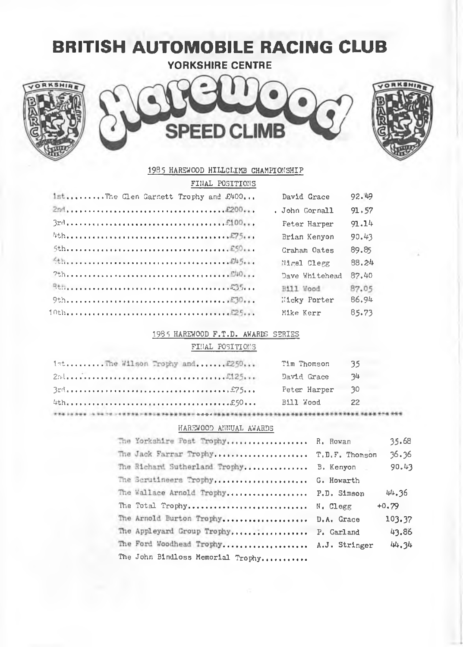# **BRITISH AUTOMOBILE RACING CLUB**

**YORKSHIRE CENTRE** 







#### 1985 HAREWOOD HILLCLIMB CHAMPIONSHIP

| FINAL POSITIONS                     |                     |       |
|-------------------------------------|---------------------|-------|
| 1stThe Clen Garnett Trophy and £400 | David Grace         | 92.49 |
|                                     | . John Gornall      | 91,57 |
|                                     | <b>Feter Harper</b> | 91.14 |
|                                     | Brian Kenyon        | 90.43 |
|                                     | Craham Oates        | 89.85 |
|                                     | Nirel Clerg         | 88.24 |
|                                     | Dave Whitehead      | 87.40 |
|                                     | Hill Wood           | 87.05 |
|                                     | Micky Porter        | 86.94 |
|                                     | Mike Kerr           | 85.73 |

#### 1985 HAREWOOD F.T.D. AWARDS SERIES

#### FINAL POSITIONS

| 1stThe Wilson Trophy and £250 | Tim Thomson  | -35. |
|-------------------------------|--------------|------|
|                               | David Grace  | 34   |
|                               | Peter Harper | -30  |
|                               | Bill Wood    | 22   |
|                               |              |      |

#### HAREWOOD ANNUAL AWARDS

| The Yorkshire Post Trophy R. Rowan      | 35.68   |
|-----------------------------------------|---------|
| The Jack Farrar Trophy T.D.F. Thomson   | 36.36   |
| The Richard Sutherland Trophy B. Kenyon | 90.43   |
| The Scrutineers Trophy G. Howarth       |         |
| The Wallace Arnold Trophy P.D. Simson   | 44.36   |
| The Total Trophy N. Clegg               | $+0.79$ |
| The Arnold Burton Trophy D.A. Grace     | 103.37  |
| The Appleyard Group Trophy P. Garland   | 43.86   |
| The Ford Woodhead Trophy A.J. Stringer  | 44.34   |
| The John Bindloss Memorial Trophy       |         |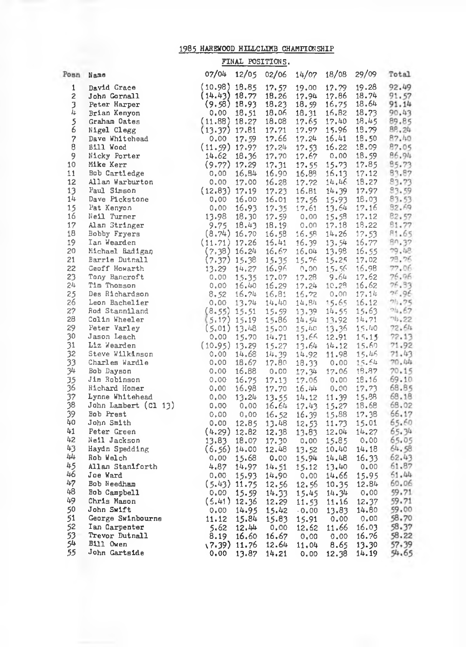### 1985 HARSWOOD HILLCLIMB CHAMPIONSHIP

|          |                                                                                                                                                                                                                                                        | FINAL POSITIONS.                |                         |               |               |                |                |
|----------|--------------------------------------------------------------------------------------------------------------------------------------------------------------------------------------------------------------------------------------------------------|---------------------------------|-------------------------|---------------|---------------|----------------|----------------|
|          | Posn Name                                                                                                                                                                                                                                              | 07/04                           | 12/05 02/06 14/07 18/08 |               |               | 29/09          | Total          |
| 1        | David Grace                                                                                                                                                                                                                                            | $(10.98)$ 18.85                 | 17.57                   | 19,00         | 17.79         | 19.28          | 92.49          |
| 2        | John Cornall                                                                                                                                                                                                                                           | $(14.43)$ 18.77                 | 18.26                   | 17.94         | 17.86         | 18.74          | 91.57          |
| 3        | Peter Harper                                                                                                                                                                                                                                           | $(9.58)$ 18.93 18.23            |                         | 18.59         | 16.75         | 18.64          | 91.14          |
| Ìş.      | Brian Kenyon                                                                                                                                                                                                                                           | 0.00 18.51                      | 18.06                   | 18.31         | 16,82         | 18.73          | 90.43          |
| 5<br>6   | Graham Oates                                                                                                                                                                                                                                           | (11.88) 18.27 18.08             |                         | 17.65         | 17,40         | 18.45          | 89.85          |
|          | Nigel Clegg                                                                                                                                                                                                                                            | $(13.37)$ 17.81                 | 17.71                   | 17.97         | 15.96         | 18.79          | 8P, 24         |
| 7        | Dave Whitehead                                                                                                                                                                                                                                         | $0.00 \quad 17.59$              | 17.66                   | 17.24         | 16,41         | 18.50          | 87.40          |
| 8        | Bill Wood                                                                                                                                                                                                                                              | $(11.59)$ 17.97                 | 17.24                   | 17.53         | 16.22         | 18.09          | 87.05          |
| 9        | Nicky Porter                                                                                                                                                                                                                                           | 14.62<br>18.36                  | 17.70                   | 17.67         | 0,00          | 18.59          | 86.94          |
| 10       | Mike Kerr                                                                                                                                                                                                                                              | $(9.77)$ 17.29                  | 17.31                   | 17.55         | 15.73         | 17.85          | 85.73          |
| 11       | Bob Cartledge                                                                                                                                                                                                                                          | 16, B4<br>0,00                  | 16.90                   | 16.88         | 16,13         | 17.12          | 83.87          |
| 12       | Allan Warburton                                                                                                                                                                                                                                        | 0.00<br>17,00                   | 16.28                   | 17.72         | 14,46         | 18.27          | 83.73          |
| 13       | Paul Simson                                                                                                                                                                                                                                            | (12.83) 17.19                   | 17.23                   | 16.81         | 14.39         | 17.97          | 83.59          |
| 14       | Dave Pickstone                                                                                                                                                                                                                                         | 16,00<br>0,00                   | 16.01                   | 17,56         | 15.93         | 18,03          | 83.53          |
| 15       | Pat Kenyon                                                                                                                                                                                                                                             | 16.93<br>0.00                   | 17.35                   | 17.61         | 13.64         | 17.16          | 32.69          |
| 16       |                                                                                                                                                                                                                                                        |                                 | 17.59                   | 0.00          | 15.58         | 17.12          | 82.57          |
| 17       |                                                                                                                                                                                                                                                        |                                 | 18.19                   | 0.00          | 17.18         | 18.22          | 81.77          |
| 18       |                                                                                                                                                                                                                                                        |                                 | 16.58                   | 16.5B         | 14.26         | 17.53          | 81.65          |
| 19       |                                                                                                                                                                                                                                                        |                                 | 15.41                   | 16.39         | 13.54         | 16.77          | 80.37          |
| 20       |                                                                                                                                                                                                                                                        |                                 | 16.67                   | 16.04         | 13.98         | 16.55          | 79.48          |
| 21       |                                                                                                                                                                                                                                                        |                                 | 15.35                   | 15.76         | 15.25         | 17,02          | 79.76          |
| 22       |                                                                                                                                                                                                                                                        |                                 | 16.96                   | $0.00 -$      | 15.56         | 16.98          | 77.06          |
| 23       | Pat Kenyon $0.00 16.93$<br>Neil Turner $13.98 18.30$<br>Alan Stringer $9.75 16.43$<br>Tan Wearden $(11.71) 17.26$<br>Michael Badigan $(7.38) 16.24$<br>Barrie Dutnall $(7.37) 15.38$<br>Geoff Howarth $13.29 14.27$<br>Tan Thomson $0.00 15$           |                                 | 17.07                   | 17.28         | 9.64          | 17.62          | 76.96          |
| 24       |                                                                                                                                                                                                                                                        |                                 | 16.29                   | 17.24         | 10.28         | 16.62          | 76.93          |
| 25       |                                                                                                                                                                                                                                                        |                                 | 16.81                   | 16.72         | 0.00          | 17.14          | 76.96          |
| 26       | an Wear<br>ideal Badiga,<br>darie Dutnall<br>Geoff Howarth<br>Tom Bancroft<br>The Theorem of the state of the state of the state<br>Des Richardson<br>Des Richardson<br>Des Richardson<br>Des Richardson<br>des Richardson<br>For Varley<br>For Varley |                                 | $13.74$ $14.40$         | 14.84         | 15.65         | 16.12          | 71.75          |
| 27       |                                                                                                                                                                                                                                                        |                                 | 15.59                   | 13.39         | 14.55         | 15.63          | 04.67          |
| 28       |                                                                                                                                                                                                                                                        |                                 | 15.86                   | 14.54         | 13.92         | 14.71          | 74.22          |
| 29       |                                                                                                                                                                                                                                                        |                                 | 15.00                   | 15.40         | 13.36         | 15.40          | 72.64          |
| 30       |                                                                                                                                                                                                                                                        |                                 | 14.71                   | 13.66         | 12.91         | 15.15          | 72.13          |
| 31       |                                                                                                                                                                                                                                                        |                                 | 15.27                   | 13.64         | 14.12         | 15.60          | 71.92          |
| 32       |                                                                                                                                                                                                                                                        |                                 | 14.39                   | 14.92         | 11.98         | 15,46          | 71.43          |
| 33       |                                                                                                                                                                                                                                                        |                                 | 17.80                   | 18.33         | 0.00          | 15.64          | 70.44          |
| 34       |                                                                                                                                                                                                                                                        |                                 | 0.00                    | 17.34         | 17.06         | 18.87          | 70.15          |
| 35       |                                                                                                                                                                                                                                                        |                                 | 17.13                   | 17.06         | 0.00          | 18,16          | 69.10          |
| 36       |                                                                                                                                                                                                                                                        |                                 | 17.70                   | 16.44         | 0.00          | 17.73          | 68.85          |
| 37       | Lynne Whitehead<br>John Lambert (C1 13) 0.00                                                                                                                                                                                                           |                                 | 13.55                   | 14.12         | 11.39         | 15.88          | 68.18          |
| 38       |                                                                                                                                                                                                                                                        |                                 | 16.64                   | 17.43         | 15.27         | 18.68          | 68.02          |
| 39       | Bob Prest                                                                                                                                                                                                                                              | 0,00<br>0,00                    | 16.52                   | 16.39         | 15,88         | 17.38          | 66.17          |
| 40       | John Smith                                                                                                                                                                                                                                             | 0.00<br>12.85                   | 13.48                   | 12.53         | 11.73         | 15.01          | 65.60          |
| 41       | Peter Green                                                                                                                                                                                                                                            | $(4.29)$ 12.82                  | 12.38                   | 13.83         | 12.04         | 14.27          | 65.34          |
| 42       | Neil Jackson                                                                                                                                                                                                                                           | 13.83<br>18.07                  | 17.30                   | 0,00          | 15.85         | 0,00           | 65.05          |
| 43       | Haydn Spedding                                                                                                                                                                                                                                         | $(6, 56)$ 14.00                 | 12,48                   | 13.52         | 10.40         | 14.18          | 64.58          |
| 44       | Rob Welch                                                                                                                                                                                                                                              | 0,00<br>15.68                   | 0.00                    | 15.94         | 14.48         | 16.33          | 62.43          |
| 45       | Allan Staniforth                                                                                                                                                                                                                                       | 4.87<br>14.97                   | 14.51                   | 15.12         | 13.40         | 0.00           | 61.87          |
| 46       | Joe Ward                                                                                                                                                                                                                                               | 15.93<br>0.00                   | 14.90                   | 0,00          | 14.66         | 15.95          | 51.44          |
| 47       | Bob Needham                                                                                                                                                                                                                                            | $(5.43)$ 11.75                  | 12.56                   | 12.56         | 10.35         | 12.84          | 60.06          |
| 48       | Bob Campbell                                                                                                                                                                                                                                           | 0.00<br>15.59                   | 14.33                   | 15.45         | 14.34         | 0.00           | 59.71          |
| 49       | Chris Mason                                                                                                                                                                                                                                            | $(5.41)$ 12.36                  |                         |               |               |                | 59.71          |
| 50       | John Swift                                                                                                                                                                                                                                             | 0.00<br>14.95                   | 12.29                   | 11.53         | 11,16         | 12.37<br>14.80 | 59.00          |
| 51       |                                                                                                                                                                                                                                                        |                                 | 15.42                   | $0.00 -$      | 13.83         |                | 58.70          |
| 52       | George Swinbourne                                                                                                                                                                                                                                      | 11.12<br>15.84                  | 15.83                   | 15.91         | 0,00          | 0.00           |                |
|          | Ian Carpenter                                                                                                                                                                                                                                          | 5.62<br>12.44                   | 0,00                    | 12.62         | 11.66         | 16.03          | 58.37          |
| 53<br>54 | Trevor Dutnall<br><b>Bill Owen</b>                                                                                                                                                                                                                     | 16.60<br>8.19                   | 16.67                   | 0,00          | 0.00          | 16.76          | 58.22          |
| 55       | John Gartside                                                                                                                                                                                                                                          | $(7.39)$ 11.76<br>0,00<br>13.87 | 12.64<br>14.21          | 11,04<br>0.00 | 8.65<br>12.38 | 13.30<br>14.19 | 57,39<br>54.65 |
|          |                                                                                                                                                                                                                                                        |                                 |                         |               |               |                |                |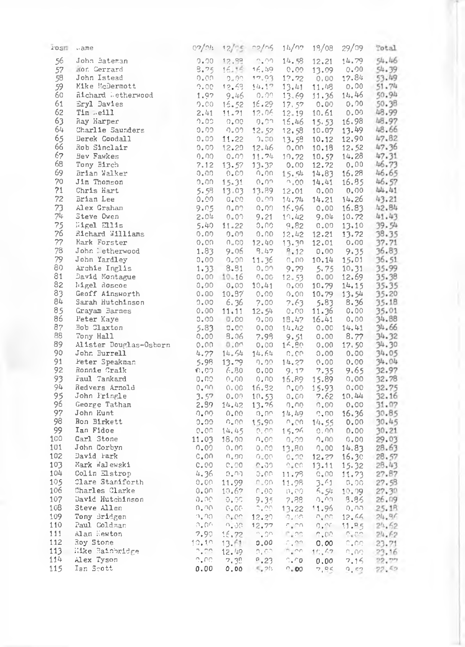| rosm | $\therefore$ ane       |                                  |                          | $02/nh$ $12/n5$ $02/n5$ $1h/n7$ |                             |                        | 18/08 29/09                    | Total                                  |
|------|------------------------|----------------------------------|--------------------------|---------------------------------|-----------------------------|------------------------|--------------------------------|----------------------------------------|
| 56   | John Bateman           | 0.00                             | 12,98                    | -0.00-                          | 14.58                       | 12.21                  | 14.79                          | 54.46                                  |
|      | 57 Mor. Gerrard        | $8.75 -$                         |                          | 16.16 16.49                     | 0.00                        | 13.09                  | 0.00                           | 54.39                                  |
| 58   | John Istead            | 0.00                             | $-9.99$                  | 17,03                           | 12.72                       | 0.00                   | 17.84                          | 53.49                                  |
| 59   | Mike McDermott         |                                  | $9.00 - 12.69$           | 14.17                           | 13.41                       | 11.08                  | 0.00                           | 51.74                                  |
| 60   | Richard Detherwood     |                                  | 1.97 9.46                | 0.00                            | 13.69                       |                        | 11.36 14.46                    | 50.94                                  |
| 61   | Eryl Davies            |                                  | $9.00$ $16.52$ $16.29$   |                                 | 17.52                       |                        | 0.000000000                    | 50.38                                  |
| 62   | $Tim$ . $e111$         | 2.41                             |                          | 11.71 12.06                     | 12.19                       | 10.61                  | 0.00                           | 48.99                                  |
| 63   | Ray Harper             |                                  |                          | $0.00 - 0.00 - 0.01$            | 15,46                       |                        | 15.53 16.98                    | 48.97                                  |
| 64   | Charlie Saunders       | $0.00 -$                         | $0.09 - 12.52$           |                                 | 12.58                       |                        | 10.07 13.49                    | 48.66                                  |
| 65   | Derek Goodall          |                                  |                          | $0.00$ 11.22 $0.00$             | 13.59                       | 10.12                  | 12.90                          | 47.82                                  |
| 66   | Rob Sinclair           |                                  | $0.00$ $12.20$           | -12.46                          | 0.00                        | 10.18                  | 12.52                          | 47.36                                  |
| 67   | Bev Fawkes             | 0.00-                            | 0.09                     |                                 | $11.74$ $10.72$             |                        | $10.57$ $14.28$                | 47.31                                  |
| 68   | Tony Birch             |                                  | $7.12$ $13.57$ $13.32$   |                                 | 0.00                        | 12,72                  | 0.00                           | 46.73                                  |
| 69   | Brian Walker           | 0.00.                            | 0.00                     | ິດເທດ                           | 15.54                       |                        | 14.83 16.28                    | 46.65                                  |
| 70   | Jim Thomson            |                                  | $0.00 \quad 15.31$       | 0.03                            | $^{\circ}$ ,00              |                        | 14.41 16.85                    | 46.57                                  |
| 71   | Chris Hart             |                                  |                          | 5.58 13.03 13.89 12.01          |                             | 0.00                   | 0.00                           | 44.41                                  |
| 72   | Brian Lee              |                                  | $0.00 - 0.00$            | 0.00                            |                             |                        | $14.74$ $14.21$ $14.26$        | 43.21                                  |
| 73   | Alex Graham            | 9.05                             | 0.02                     | 0.00                            | 16.96                       |                        | 0.00 16.83 42.84               |                                        |
| 74   | Steve Owen             | 2.04                             | 0.02                     | 9.21                            |                             | $10.42$ $9.04$ $10.72$ |                                | 41.43                                  |
| 75   | Wigel Ellis            |                                  | $5.40$ 11.22             | $0.00 -$                        | 9.82                        |                        | $0.00$ 13.10                   | 39.54                                  |
| 76   | Richard Williams       | 0.00                             | 0.09                     |                                 |                             |                        | $0.00$ $12.42$ $12.21$ $13.72$ | 38.35                                  |
| 77   | Mark Forster           |                                  |                          | 0.00 0.00 12.40                 |                             | $13.30 \quad 12.01$    | 0.00                           | 37.71                                  |
| 78   | John : etherwood       | 1.83                             | 9.06                     | 9.47                            | 8,12                        |                        |                                |                                        |
| 79   | John Yardley           |                                  |                          | $0.00 - 11.36 - 0.00$           |                             |                        |                                | $0.00$ 9.35 36.83<br>10.14 15.01 36.51 |
| 80   | Archie Inglis          |                                  | $0.00 0.00$<br>1.33 8.91 |                                 | $0.00 - 9.79$               |                        | 5.75 10.31 35.99               |                                        |
| 81   | David Montague         |                                  | 0.0010.16                |                                 | $0.00 - 12.53$              |                        | $0,00$ 12.69                   | 35.38                                  |
| 82   | ligel doscoe           | 0.00                             |                          | $0.00$ $10.41$ $0.00$           |                             |                        | $10.79$ $14.15$                | 35.35                                  |
| 83   | Geoff Ainsworth        | 0.00                             | 10.97                    | 0.00                            | $0.00 -$                    |                        | $10.79$ $13.54$                | 35.20                                  |
| 84   | Sarah Hutchinson       |                                  | 0.0066.36                |                                 | $7.00$ $7.63$               |                        | 5.83 8.36                      | 35.18                                  |
| 85   | Grayam Barnes          |                                  |                          | $0.00$ 11.11 12.54 0.00         |                             | 11.36                  | 0.00                           | 35.01                                  |
| 86   | Peter Kaye             |                                  |                          | $0.00$ $0.00$ $0.00$ $18.47$    |                             |                        | $16.41$ $0.00$                 | 34.88                                  |
| 87   | Bob Claxton            | 5.83                             | 0.00                     | 0.00                            | 14.42                       |                        | $0.00 - 14.41$                 | 34.66                                  |
| 88   | Tony Hall              |                                  | $0.00$ $8.06$            |                                 |                             |                        | 7.98 9.51 0.00 8.77 34.32      |                                        |
| 89   | Alister Douglas-Osborn |                                  | $0.00 - 0.00$            | 0.00                            |                             |                        | 14.80 0.00 17.50               | 34.30                                  |
| 90   | John Burrell           |                                  |                          | 4.77 14.64 14.64                |                             |                        | 0.00 0.00 0.00                 | 34.05                                  |
| 91   | Peter Speakman         |                                  | 5.98 13.79               |                                 | $0.00 - 14.27 - 0.00$       |                        | 0.00                           | 34.04                                  |
| 92   | Ronnie Craik           |                                  | $0.00 - 6.80$            | 0.00                            | 9.17 7.35                   |                        | 9.65                           | 32.97                                  |
| 93   | Faul Tankard           | 0.00                             |                          | $0.00$ $0.00$ $16.89$           |                             | 15.89                  | 0.00                           | 32.78                                  |
| 94   | Redvers Arnold         | 0.90                             |                          | 0.00 16.52 0.00                 |                             | 15.93                  |                                | 32.75                                  |
| 95   | John Fringle           |                                  | 3.57 0.00 10.53          |                                 | 0.00                        | 7.62                   | $0,00$<br>10,44                | 32.16                                  |
| 96   | George Tatham          |                                  | 2.89 14.42 13.76         |                                 | 0.00                        | 0.00                   | $0.00$ 31.07                   |                                        |
| 97   | John Hunt              | 0.00.                            | 0.00                     | 0.00                            |                             |                        | 14.49 0.00 16.36 30.85         |                                        |
| 98   | Ron Birkett            | $0.00 -$                         | - 0.00                   |                                 | $15.90 - 0.00$              |                        | $14.55$ 0.00 30.45             |                                        |
| 99   | Ian Fidoe              |                                  |                          | $0.00 - 14.45 - 0.00$           | 15.26                       | 0,00                   | 0.00                           | 30.21                                  |
| 100  | Carl Stone             |                                  | 11.03 18.00              | 0.00                            | 0,00                        | ∩.∩⊖                   | $0.00$ 29.03                   |                                        |
| 101  | John Corbyn            | 0.00                             | 0.00                     | $0.00 -$                        | 13,80                       |                        | $0.00$ 14.83                   | 28.63                                  |
| 102  | David Park             | C, O <sub>0</sub>                | . . 00                   |                                 | $0.00 - 0.00$               |                        | 12.27 16.30 28.57              |                                        |
| 103  | Mark Walewski          | C.00                             | C, OO                    | 1400.                           | $2*60$                      |                        | $13.11$ $15.32$                |                                        |
| 104  | Colin Elstrop          | 4.36                             | alna –                   |                                 | $0.00 - 11.78$              | $0.00$ 11.73           |                                | 28.43<br>27.87                         |
| 105  | Clare Staniforth       |                                  | $0.00$ 11.99             | 0.00                            | 11.98                       | 3.41                   | $0.00$ 27.58                   |                                        |
| 106  | Charles Clarke         |                                  | $0.00 - 10.67$           | 0.00                            |                             |                        | $5.54$ 10.09                   | 27.30                                  |
| 107  | David Hutchinson       | -0.00                            | $-0.00$                  | 9.35                            | $^{+0,+00}_{-7+88}$         |                        | $0.00 - 8.86$                  | 26.09                                  |
| 108  | Steve Allen            | -0.00                            | $C = CC$                 | -24.00 -                        |                             | $13.22$ 11.96          | ാ. റ.                          | 25.18                                  |
| 109  | Tony Bridgen           | ി. ിറ                            |                          | $0.00 - 12.20$                  | $\Omega$ , $\Omega\Omega$ . |                        | $^{11.90}$ $^{0.00}$           | 24.96                                  |
| 110  | Paul Coldman           | lo Loni Li                       |                          | $0.00 - 12.77$                  |                             |                        | $7.20$ 0.20 11.85 24.62        |                                        |
| 111  | Alan Hewton            | 7.90                             | 16.72                    | ್ಕೂಣ                            | $E_{\rm A}$ nd              | n.co                   | $\cap$ . $\cap$                | 24.62                                  |
| 112  | Roy Stone              | 10.19                            |                          |                                 | $\cap$ , $\cap \cap$        | 0,00                   |                                |                                        |
| 113  | ilke Bainbridge        | $\Gamma_{\bullet} \Gamma \Omega$ | 13.61 0.00<br>12.49      | $0.60 - 0.00$                   |                             |                        |                                | $0.00 - 23.71$                         |
| 114  | Alex Tyson             | $\cap_\bullet \cap \cap$         | 7.38                     | 0.23                            | 0.70                        |                        | 7.15                           | 10.47 0.00 23.16                       |
| 115  | Ian Scott              | 0.00                             | 0.00                     | $S_{\nu}$ 25                    | $^{\circ}$ . 00             | 0.00<br>7,06           | 9,52                           | 22.77<br>22.52                         |
|      |                        |                                  |                          |                                 |                             |                        |                                |                                        |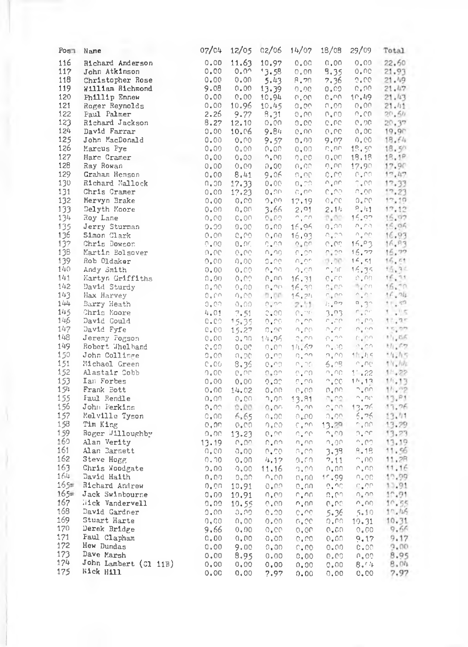|            | Post Name                       | 07/04          |                | 12/05 02/06          | 14/07                               | 18/08                                           | 29/09                                    | Total                             |  |
|------------|---------------------------------|----------------|----------------|----------------------|-------------------------------------|-------------------------------------------------|------------------------------------------|-----------------------------------|--|
| 116        | Richard Anderson                | 0.00           | 11.63          | 10.97                | 0.00                                | 0,00.                                           |                                          | 0.00 22.60                        |  |
| 117        | John Atkinson                   | 0.00           | $0.0^{\circ}$  | 13.58                | 0.00                                | 9,35                                            |                                          | 0.00 21.93                        |  |
| 118        | Christopher Rose                | 0.00           | 0.00           | 5.43                 | 8.70                                | 7.36                                            | 2.00                                     | 21.49                             |  |
| 119        | William Richmond                | 9.08           | 0.00           | 13.39                | 0.00                                | 0.00                                            | $0.00 -$                                 | 21.47                             |  |
| 120        | Phillip Ennew                   |                | $0.00 \t 0.00$ | 10,94                | $00, 0$                             |                                                 | $0.00 - 10.49$                           | 21.43                             |  |
| 121        | Roger Reynolds                  | 0.00           | 10.96          | 10.45                | $\mathcal{O}_+\mathcal{O}_+$        | 0.00                                            | 0.00                                     | 21.11                             |  |
| 122        | Paul Palmer                     | 2.26           | 9.77           | 8.31                 | $0.00 -$                            | 0.00.                                           | $0.00 -$                                 | 20.5h                             |  |
| 123        | Richard Jackson                 | 8.27           | 12.10          | ್ಮಾಂಗಿ               | 0.00                                | 0.00                                            | $0.00 -$                                 | 20.37                             |  |
| 124        | David Farrar                    | 0.00           | 10.06          | 9.84                 |                                     | $0.00 - 0.00$                                   | 0.00                                     | 19.9c                             |  |
| 125        | John MacDonald                  | 0.00           | 0,00           | 9.57                 | 0.00 -                              | 9.07                                            |                                          | $0.00$ $18.64$                    |  |
| 126        | Marcus Pye                      | 0.00           | 0,00           | 0.00                 | 0,00                                | <b>G.OC</b>                                     | $19.50 -$                                | 18.50                             |  |
| 127        | Marc Cramer                     | 0,00           | ೦.೦೦           | $0.00 -$             |                                     | $0.00 - 0.00$                                   | 18,18                                    | 18.18                             |  |
| 128        | Ray Rowan                       | 0,00           | 0.00           | 0.00                 | 0,00.                               | ú"uu                                            | 17.90                                    | 17.90                             |  |
| 129        | Graham Henson                   | 0.00           | 8.41           | 9.06                 | $O_+CO_+$                           | c.co.                                           | 0.00                                     | 17.47                             |  |
| 130        | Richard Mallock                 | ი, ეი          | 17.33          | 0.00                 | $0.70 -$                            | $\cup$ " $\cup$ $\cup$                          | 7.00                                     | 12,33                             |  |
| 131        | Chris Cramer                    | 0.00           | 17.23          | 0.00                 | - C.OO.                             | $C^{\bullet}$ UG-                               | 0.00                                     | 17,23                             |  |
| 132        | Mervyn Brake                    | 0.00           | 0.00           | 0,00.                | 17.19                               | 0.00                                            | $0.70 - 0.0$                             | 17, 10                            |  |
| 133        | Delyth Moore                    | 0.00           | 0.00           | 3.66                 | 2,01                                | 2.14                                            | $-2.41$                                  | 17,12                             |  |
| 134        | Roy Lane                        | 0.00           | 0.00           | 0.00                 | $\gamma$ , $\gamma\gamma$           | 2.00 15.92                                      |                                          | 16.97<br>×                        |  |
| 135        | Jerry Sturman                   | 0.00           | 0.00           | 0.00                 | 16.96                               | - 0.00                                          | ∴n,no                                    | 16,06                             |  |
| 136        | Simon Clark                     | $0.00 -$       | 0.00           | 0.00                 | 16.93                               | $\cap_+ \cap \cap_-$                            | $-\sigma^* \sigma \bar{\nu}$             | 16.93                             |  |
| 137<br>138 | Chris Dowson                    | 0.00<br>0.00   | 0.00           | C.OO.                | $Q_+CO$                             | 0.00                                            | 16.93<br>16,77                           | 16, 83                            |  |
| 139        | Martin Bolsover<br>Rob Oldaker  | 0.00           | 0.00<br>0.00   | 0.90<br>0.01         | $-0.00$<br>$\cap$ , $\cap \cap$     | $\cap$ , $\cap$ .                               | (0,00, 16,51)                            | 15.77<br>16.51                    |  |
| 140        | Andy Smith                      | 0.00           | 0.00           | 0.001                | - nuon                              |                                                 | n.or 16.35                               |                                   |  |
| 141        | Martyn Griffiths                | 0.00           | 0.00           | 0.00                 | 16.31                               | $\mathbb{C}$ , $\mathbb{C}\mathbb{C}$           | 0.00                                     | $\frac{15}{15}$ at $\frac{3}{10}$ |  |
| 142        | David Sturdy                    | 0.00           | $0.00 -$       |                      | $0.00 - 16.30$                      | Ounc.                                           | $\mathbb{R}$ on                          |                                   |  |
| 143        | Max Harvey                      | 0.00           | 0.00           | 0.00                 | 15.2h                               |                                                 | $\omega^*$ Go $\sim$ $\sim$ 7 $\omega$ . | 16.26                             |  |
| 144        | Barry Heath                     | 0.001          | $0.00 -$       | $\cap$ , $\cap \cap$ | 2.11                                | $E_{\bullet}$ 07                                | $n.3^n$                                  | 11.50                             |  |
| 145        | Chris Noore                     | 4.01           | $7.51 -$       | $2 - 00$             | $\mathcal{O}$ , $\mathcal{O}$ .     | 3.93                                            | $-2.25$                                  | $1 - 15$                          |  |
| 146        | David Could                     | 0.00           | 15.35          | 0.00.                | -0.00                               | $\gamma\gamma_*\gamma$                          | $\mathbf{V}_\mathbf{a}$ but              | 11, 25                            |  |
| 147        | David Fyfe                      | C, CO          | 15.27          | - 01.00              | $\sim 10$                           | n en                                            | $\cap_+ \cap \cap$                       | $\epsilon \approx 0.5$            |  |
| 148        | Jeremy Pogson                   | 0.00           | งเกล           | 14.96                | $-2422$                             | $\cap_\bullet \cap \cap$                        | $\mathcal{C}_\bullet$ on                 | 11,55                             |  |
| 149        | Robert Whelband                 | 0,00           | 0.00           | $0.00$               | 14.62                               | $\cap_{+}, \cap_{\Box}$                         | $\Delta^*$ Guy                           | 11.57                             |  |
| 150        | John Collinge                   | 0.00           | 0.00           | o, no                | - 0. <sup>nn</sup>                  | n, no                                           | 18,45                                    | 14.15                             |  |
| 151        | Michael Green                   | $C$ , OO.      | 8.36           | 0.00                 | - 0.00                              | 5.05                                            | ್ಮಗಿಲ                                    | 1.11.101                          |  |
| 152        | Alastair Cobb                   | 0.00           | -0. OC         | $\circ$ $\circ$      | $\circ$ . $\circ$                   | $n, \alpha$                                     | $1^{\circ}$ , 22                         | 1/1.22                            |  |
| 153        | Ian Forbes                      | 0.00           | 0.00           | 0.00                 | <b>D.PO</b>                         |                                                 | $^{\circ}$ ,00 = 1h,13                   | 14.13                             |  |
| 154        | Frank Bott                      | 0.00           | 14.02          | 0.00.                | 0.00                                | $0^+00^-$                                       | $n_{\bullet}$ 00 -                       | 11.72                             |  |
| 155        | Faul Rendle                     | 0.00           | $0.00 -$       | n, onl               | 13.81                               | - 0.02                                          | ್ಮಗಾ                                     | 13.71                             |  |
| 156<br>157 | John Ferkins                    |                | 0.00 0.00 0.00 |                      | $D_+ \cap D_+$                      | $\overline{\omega}$ , $\omega\overline{\omega}$ | 13.76                                    | 17.76                             |  |
| 158        | Melville Tyson                  | C.00           | 6.65           | 0.00                 | 0.00                                | 0.00                                            | 5.76                                     | 13.01                             |  |
| 159        | Tim King                        | - 0.00         | 0,00           | 0.00.                | $C_A DO$ .                          | 13.39                                           | $\cap$ , $\cap$<br>n, nri                | 13.29<br>13.23                    |  |
| 160        | Roger Willoughby<br>Alan Verity | 0.00-<br>13.19 | 13.23<br>n.on  | n.nn.                | $0.00 - 0.00$<br>$\cap_\pi\cap\cap$ | $^{\circ}$ .00<br>1.00                          | n.eo                                     | 13.19                             |  |
| 161        | Alan Barnett                    | 0.00           | 0.00           | $0.70 -$             | 0.00                                | 3.39                                            | $^{0.19}$                                | 11.56                             |  |
| 162        | Steve Hogg                      | 0.00           | 0.00           | $4.12 -$             | 0.50                                | 7.11                                            | $^{\circ}$ ,00.                          | 11,28                             |  |
| 163        | Chris Woodgate                  | 0.00           | 0,00           | 11.16                | 0.00                                | 0.00-                                           | $\cup$ * $\cup$ $\cup$                   | 11.16                             |  |
| 164        | David Haith                     | 0.00           | 0,00           | -0.00-               | 0,00                                | 10.99                                           | $\cap$ , $\cap\cap$                      | 19.99                             |  |
| 165        | Richard Andrew                  | 0.00           | 10.91          | 0.೧೧                 | 0.00                                | $\tilde{\omega}^* \omega \tilde{\omega}$        | ic.on.                                   | 13.91                             |  |
| $165 =$    | Jack Swinbourne                 | 0.00           | 10.91          | 0,00.                | in, na                              | n, m                                            | n, nn                                    | 10.91                             |  |
| 167        | Wick Vandervell                 | 0.00           | 10.55          | 0.00                 | n,on                                | 0.00                                            | 0.00                                     | 10.55                             |  |
| 168        | David Gardner                   | 0.00           | ಾ. ೧೧          | 0.00                 | $C = C C$                           | 5.36                                            | 5.10                                     | $1^n, 155$                        |  |
| 169        | Stuart Harte                    | 0,00           | 0,00           | 0.00                 | 0.00                                | n, n                                            | 10.31                                    | 10.31                             |  |
| 170        | Derek Bridge                    | 9,66           | 0,00           | 0.00                 | 0,00                                | 0.00                                            | 0.00                                     | 9.66                              |  |
| 171        | Paul Clapham                    | 0,00           | 0.00           | 0.00                 | 0.00                                | 0,00.                                           | 9,17                                     | 9.17                              |  |
| 172        | Hew Dundas                      | 0,00           | 9.00           | 0,00                 | 0.00                                | 0.00                                            | 0.00                                     | 9.00                              |  |
| 173        | Dave Marsh                      | 0.00           | 8.95           | 0.00                 | 0,00                                | 0.00                                            |                                          | 0.00 8.95                         |  |
| 174        | John Lambert (Cl 11B)           | 0.00           | 0,00           | 0.00                 | 0.00                                | 0.00                                            | 8.14                                     | 8.04                              |  |
| 175        | <b>Nick Hill</b>                | 0.00           | 0,00           | 7.97                 | 0.00                                | 0.00                                            | 0.00                                     | 7.97                              |  |
|            |                                 |                |                |                      |                                     |                                                 |                                          |                                   |  |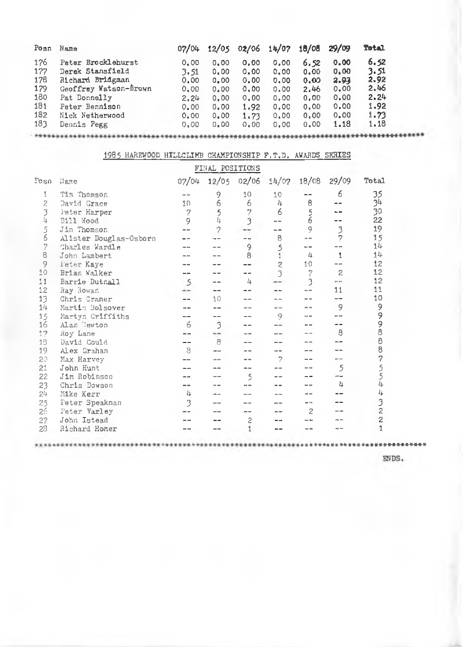| Posn | Name                  | 07/04 | 12/05 |      | 02/06 14/07 | 18/08 | 29/09 | Total |
|------|-----------------------|-------|-------|------|-------------|-------|-------|-------|
| 176  | Pater Brocklehurst    | 0.00  | 0.00  | 0.00 | 0.00        | 6.52  | 0.00  | 6,52  |
| 177  | Derak Stansfield      | 3.51  | 0.00  | 0.00 | 0.00        | 0.00  | 0.00  | 3.51  |
| 178  | Richard Bridgman      | 0.00  | 0.00  | 0.00 | 0.00        | 0.00  | 2.93  | 2,92  |
| 179  | Geoffrey Watson-Brown | 0.00  | 0.00  | 0.00 | 0.00        | 2.46  | 0.00  | 2,46  |
| 180  | Pat Donnelly          | 2.24  | 0.00  | 0.00 | 0.00        | 0.00  | 0.00  | 2.24  |
| 181  | Peter Bennison        | 0.00  | 0.00  | 1.92 | 0.00        | 0.00  | 0.00  | 1.92  |
| 182  | Nick Netherwood       | 0.00  | 0.00  | 1.73 | 0,00        | 0.00  | 0.00  | 1,73  |
| 183  | Dennis Pegg           | 0.00  | 0.00  | 0.00 | 0.00        | 0.00  | 1.18  | 1,18  |

|                  | 1985 HAREWOOD HILLCLIMB CHAMPIONSHIP F.T.D. AWARDS SERIES |       |                  |       |                |                |                |                |
|------------------|-----------------------------------------------------------|-------|------------------|-------|----------------|----------------|----------------|----------------|
|                  |                                                           |       | FINAL POSITIONS  |       |                |                |                |                |
| nac <sup>n</sup> | Hame                                                      | 07/04 | 12/05            | 02/06 | 14/07          | 18/08          | 29/09          | Total          |
| 1                | Tim Thomson                                               |       | 9                | 10    | 10             |                | 6              | 35             |
| 2                | David Grace                                               | 10    | 6                | 6     | 4              | 8              |                | 34             |
| 3                | Feter Harper                                              | 7     | 5                | 2     | 6              |                |                | 30             |
| 4                | Bill Wood                                                 | 9     | 4                | 3     | --             | $\frac{5}{6}$  |                | 22             |
| 5                | Jim Thomson                                               |       | 2                |       | --             | 9              |                | 19             |
| 6                | Alister Douglas-Osborn                                    |       |                  |       | 8              | a m            | $\frac{3}{2}$  | 15             |
| 2                | Charles Wardle                                            |       |                  | 9     | 5              |                |                | 14             |
| 8                | John Lambert                                              |       |                  | B     | 1              | 4              | 1              | 14             |
| 9                | Feter Kave                                                |       |                  |       | $\overline{c}$ | 10             |                | 12             |
| 10               | Brian Walker                                              |       |                  |       | 3              | 7              | $\overline{2}$ | 12             |
| 11               | Barrie Dutnall                                            | 5     |                  | 4     |                | 3              | $\sim$ $-$     | 12             |
| 12               | Ray Rowan                                                 | --    |                  |       |                |                | 11             | 11             |
| 13               | Chris Cramer                                              |       | 10               |       |                |                |                | 10             |
| 14               | Martin Bolsover                                           |       |                  |       |                |                | 9              | 9              |
| 15               | Martyn Griffiths                                          |       |                  |       | 9              |                |                | 9              |
| 16               | Alan lewton                                               | 6     | 3                |       |                |                |                | 9              |
| 12               | Roy Lane                                                  |       |                  |       |                |                | 8              | 8              |
| 13               | David Could                                               |       | 8                |       |                |                |                | 8              |
| 19               | Alex Graham                                               | 8     | --               |       | $=$            |                |                | 8              |
| 20               | Max Harvey                                                |       | <b>Life Rate</b> |       | 7              |                |                | 7              |
| 21               | John Hunt                                                 |       |                  |       |                |                | 5              | 55             |
| 22               | Jim Robinson                                              |       |                  | 5     |                |                |                |                |
| 23               | Chris Dowson                                              | --    |                  |       |                |                | Щ              | 4              |
| 24               | Mike Kerr                                                 | 4     |                  |       |                |                |                | 4              |
| 25               | <b>Feter Speakman</b>                                     | 3     |                  |       |                |                |                | 3              |
| 26               | Feter Varley                                              |       |                  |       |                | $\overline{2}$ |                | $\overline{c}$ |
| 27               | John Istead                                               |       |                  | 2     |                |                |                | $\overline{c}$ |
| 28               | Richard Homer                                             |       |                  | 1     |                |                |                | $\overline{1}$ |
|                  |                                                           |       |                  |       |                |                |                |                |

\*\*\*\*\*\*\*\*

\*\*\*\*\*\*\*\*\*

\*\*\*\*\*\*\*\*\*\*\*\*\*\*\*\*\* ENDS.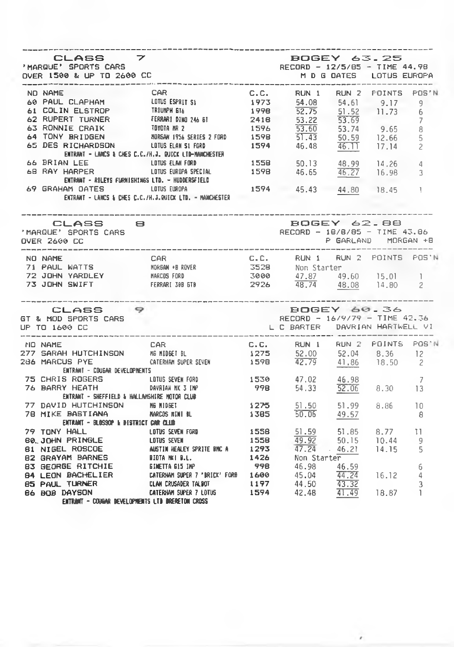| CLASS 7                                                                                                                                                                                                                                                                           |                                                                                | <b>BOGEY 63.25</b>                           |  |  |
|-----------------------------------------------------------------------------------------------------------------------------------------------------------------------------------------------------------------------------------------------------------------------------------|--------------------------------------------------------------------------------|----------------------------------------------|--|--|
|                                                                                                                                                                                                                                                                                   |                                                                                |                                              |  |  |
|                                                                                                                                                                                                                                                                                   |                                                                                |                                              |  |  |
|                                                                                                                                                                                                                                                                                   |                                                                                |                                              |  |  |
|                                                                                                                                                                                                                                                                                   |                                                                                |                                              |  |  |
|                                                                                                                                                                                                                                                                                   |                                                                                |                                              |  |  |
|                                                                                                                                                                                                                                                                                   |                                                                                |                                              |  |  |
|                                                                                                                                                                                                                                                                                   |                                                                                |                                              |  |  |
|                                                                                                                                                                                                                                                                                   |                                                                                |                                              |  |  |
|                                                                                                                                                                                                                                                                                   |                                                                                |                                              |  |  |
|                                                                                                                                                                                                                                                                                   |                                                                                |                                              |  |  |
|                                                                                                                                                                                                                                                                                   | ENTRANT - LANCS & CHES C.C./H.J.QUICX LTD. - MANCHESTER                        | 1594 45.43 44.80 18.45 1                     |  |  |
| CLASS 8<br>'MARQUE' SPORTS CARS<br>OVER 2600 CC                                                                                                                                                                                                                                   |                                                                                | BOGEY 62.88<br>RECORD - 18/8/85 - TIME 43.86 |  |  |
|                                                                                                                                                                                                                                                                                   |                                                                                |                                              |  |  |
|                                                                                                                                                                                                                                                                                   |                                                                                |                                              |  |  |
|                                                                                                                                                                                                                                                                                   |                                                                                |                                              |  |  |
|                                                                                                                                                                                                                                                                                   |                                                                                |                                              |  |  |
| ________________<br>CLASS 9<br>GT & MOD SPORTS CARS<br>UP TO 1600 CC                                                                                                                                                                                                              | BOGEY 60.36<br>RECORD - 16/9/79 - TIME 42.36<br>L C BARTER DAVRIAN HARTWELL VI |                                              |  |  |
| ------------------------                                                                                                                                                                                                                                                          |                                                                                |                                              |  |  |
|                                                                                                                                                                                                                                                                                   |                                                                                |                                              |  |  |
|                                                                                                                                                                                                                                                                                   |                                                                                |                                              |  |  |
| ENTRANT - CDUGAR DEVELOPMENTS                                                                                                                                                                                                                                                     |                                                                                |                                              |  |  |
|                                                                                                                                                                                                                                                                                   |                                                                                |                                              |  |  |
|                                                                                                                                                                                                                                                                                   |                                                                                |                                              |  |  |
|                                                                                                                                                                                                                                                                                   |                                                                                |                                              |  |  |
| ENTRANT - SHEFFIELD & HALLANSHIRE NOTOR CLUB<br>The State of the State of the Muslim State of the Muslim State of the Muslim State of the State of the Muslim<br>The Muslim State of the Marcos RINI BL THE STATE STATE OF THE STA                                                |                                                                                |                                              |  |  |
| ENTRANT - BLOSSOP & DISTRICT CAR CLUB                                                                                                                                                                                                                                             |                                                                                |                                              |  |  |
|                                                                                                                                                                                                                                                                                   |                                                                                |                                              |  |  |
|                                                                                                                                                                                                                                                                                   |                                                                                |                                              |  |  |
|                                                                                                                                                                                                                                                                                   |                                                                                |                                              |  |  |
|                                                                                                                                                                                                                                                                                   |                                                                                |                                              |  |  |
|                                                                                                                                                                                                                                                                                   |                                                                                |                                              |  |  |
|                                                                                                                                                                                                                                                                                   |                                                                                |                                              |  |  |
|                                                                                                                                                                                                                                                                                   |                                                                                |                                              |  |  |
| ENTRANT - BLUSSON CONTRACT CONTRACT CONTRACT CONTRACT CONTRACT CONTRACT CONTRACT CONTRACT CONTRACT CONTRACT CONTRACT CONTRACT CONTRACT CONTRACT CONTRACT CONTRACT CONTRACT CONTRACT CONTRACT CONTRACT CONTRACT CONTRACT CONTR<br>ENTRANT - COUGAR DEVELOPMENTS LTD DRERETON CROSS |                                                                                |                                              |  |  |
|                                                                                                                                                                                                                                                                                   |                                                                                |                                              |  |  |

,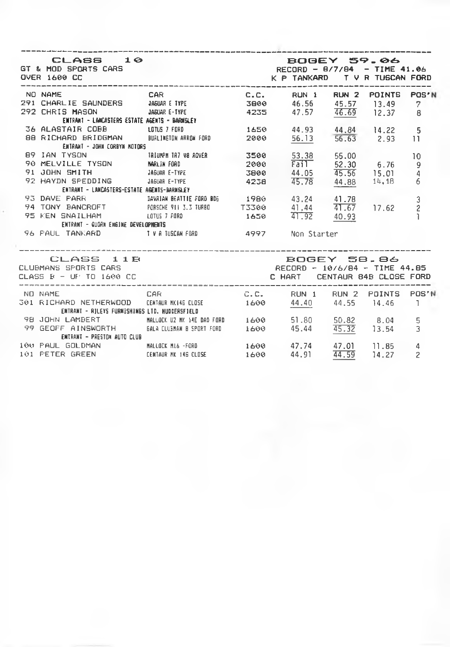| CLASS 10<br>GT & MOD SPORTS CARS<br>OVER 1600 CC                                                                      | K P TANKARD T V R TUSCAN FORD                         | <b>BOGEY 59.06</b><br>RECORD - 0/7/04 - TIME 41.06 |             |                |
|-----------------------------------------------------------------------------------------------------------------------|-------------------------------------------------------|----------------------------------------------------|-------------|----------------|
| NO NAME                                                                                                               | <b>CAR</b>                                            | C.C. RUN 1 RUN 2 POINTS                            |             | POS'N          |
| 291 CHARLIE SAUNDERS (1994) ASUAR ETIPE (1994) 39989 (1995) 42-255 (1995) 12.37 (1997) 292 CHRIS MASON                |                                                       |                                                    |             |                |
|                                                                                                                       |                                                       |                                                    |             |                |
| ENTRANT - LANCASTERS ESTATE AGENTS - BARNSLEY                                                                         |                                                       |                                                    |             |                |
| 36 ALASTAIR COBB LOTUS 7 FORD                                                                                         |                                                       | 1650 44.93 44.84 14.22                             |             | 5              |
| 88 RICHARD BRIDGMAN BUALINGTON ARROW FORD 2000 56.13 56.63 2.93                                                       |                                                       |                                                    |             | 11             |
| ENTRANT - JOHN CORBYN HOTORS                                                                                          |                                                       |                                                    |             |                |
|                                                                                                                       |                                                       | 53.38 55.00                                        |             | 10             |
|                                                                                                                       |                                                       | 2000 Fail 52.30 6.76                               |             | 9              |
| 91 JOHN SMITH JABUAR E-TYPE 3800 44.05                                                                                |                                                       |                                                    | 45.56 15.01 | $\overline{4}$ |
| 92 HAYDN SPEDDING MARUAR E-TYPE 4238 45.78 44.88 14.18                                                                |                                                       |                                                    |             | 6              |
| ENTRANT - LANCASTERS-ESTATE AGENTS-BARNSLEY                                                                           |                                                       |                                                    |             |                |
|                                                                                                                       |                                                       |                                                    |             | 3              |
|                                                                                                                       |                                                       |                                                    |             | $\overline{c}$ |
| 95 KEN SNAILHAM 600 1650 41.92 40.93                                                                                  |                                                       |                                                    |             |                |
| ENTRANT - QUORN ENGINE DEVELOPMENTS                                                                                   |                                                       |                                                    |             |                |
| 96 PAUL TANKARD IV A TUSCAN FORD 4997 Non Stanter                                                                     |                                                       |                                                    |             |                |
| CLASS 11B<br>CLUBMANS SPORTS CARS<br>CLASS R - UF TO 1600 CC CLASS CHART CENTAUR 84B CLOSE FORD                       |                                                       | BOGEY 58.86<br>RECORD - 10/6/84 - TIME 44.85       |             |                |
| NO NAME                                                                                                               |                                                       | C.C. RUN 1 RUN 2 POINTS POS'N                      |             |                |
| 301 RICHARD NETHERWOOD CENTAUR MK146 CLOSE 1600 44.40 44.55 14.46 1<br>EMTRANT - RILEYS FURNISHINGS LTD. HUDDERSFIELD |                                                       |                                                    |             |                |
| 98 JOHN LAMBERT                                                                                                       | MALLOCK U2 MK 14E DAD FORD 1600 1600 51.80 50.82 8.04 |                                                    |             | 5              |
| 99 GEOFF AINSWORTH 6ALA CLUSMAN BISPORT FORD 1600 45.44 45.32 13.54                                                   |                                                       |                                                    |             | 3              |
| ENTRANT - PRESTON AUTO CLUB                                                                                           |                                                       |                                                    |             |                |
| 100 PAUL GOLDMAN MALLOCK ML& FORD 1600 47.74 47.01 11.85                                                              |                                                       |                                                    |             | Δ              |

101 P E T E R GREEN CENTAUR NK 146 CLOSE 1 6 0 0 44.91 4 4 .5 9 1 4 .2 7 2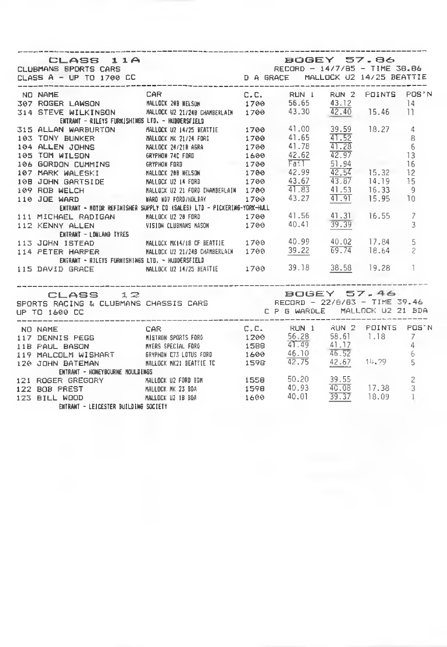| --------------------------------<br>CLASS 11A<br>CLUBMANS SPORTS CARS<br>CLASS A - UP TO 1700 CC DA GRACE MALLOCK U2 14/25 BEATTIE                                                                                                                                                          |                                   |  |  |  |
|---------------------------------------------------------------------------------------------------------------------------------------------------------------------------------------------------------------------------------------------------------------------------------------------|-----------------------------------|--|--|--|
| NO NAME                                                                                                                                                                                                                                                                                     | CAR C.C. RUN I RUN 2 POINTS POS'N |  |  |  |
| 307 ROGER LAWSON MALLOCK 209 WELSON 1700 56.65 43.12 14<br>314 STEVE WILKINSON MALLOCK 02 21/248 CHAMBERLAIN 1700 43.30 42.40 15.46 11                                                                                                                                                      |                                   |  |  |  |
|                                                                                                                                                                                                                                                                                             |                                   |  |  |  |
| ENTRANT - RILEYS FURNISHINGS LTD. - HUDDERSFIELD<br>314 STEVE MILLICATES FURNISMER MAILDCK UZ 214 STEME HAMBERLAIN 1799 43.30 42.40 15.46 11<br>315 ALLAN WARBURTON MALLOCK UZ 1475 BEATTIE 1799 41.00 39.59 18.27 4<br>193 TON DUNNER MAILDCK UZ 1475 BEATTIE 1799 41.55 $\frac{47.52}{41$ |                                   |  |  |  |
|                                                                                                                                                                                                                                                                                             |                                   |  |  |  |
|                                                                                                                                                                                                                                                                                             |                                   |  |  |  |
|                                                                                                                                                                                                                                                                                             |                                   |  |  |  |
|                                                                                                                                                                                                                                                                                             |                                   |  |  |  |
|                                                                                                                                                                                                                                                                                             |                                   |  |  |  |
|                                                                                                                                                                                                                                                                                             |                                   |  |  |  |
|                                                                                                                                                                                                                                                                                             |                                   |  |  |  |
|                                                                                                                                                                                                                                                                                             |                                   |  |  |  |
|                                                                                                                                                                                                                                                                                             |                                   |  |  |  |
|                                                                                                                                                                                                                                                                                             |                                   |  |  |  |
|                                                                                                                                                                                                                                                                                             |                                   |  |  |  |
|                                                                                                                                                                                                                                                                                             |                                   |  |  |  |
|                                                                                                                                                                                                                                                                                             |                                   |  |  |  |
|                                                                                                                                                                                                                                                                                             |                                   |  |  |  |
|                                                                                                                                                                                                                                                                                             |                                   |  |  |  |
| ENTRANT - RILEYS FURNISHINGS LTD. - MUDERSFIELD<br>115 DAVID GRACE MALLDCK 02 14/25 BEATTIE 1700 39.18 38.58 19.28 1                                                                                                                                                                        |                                   |  |  |  |
|                                                                                                                                                                                                                                                                                             |                                   |  |  |  |
|                                                                                                                                                                                                                                                                                             |                                   |  |  |  |
|                                                                                                                                                                                                                                                                                             |                                   |  |  |  |
|                                                                                                                                                                                                                                                                                             |                                   |  |  |  |
|                                                                                                                                                                                                                                                                                             |                                   |  |  |  |
| ENTRANT - HONEYBOURNE NOULDINGS                                                                                                                                                                                                                                                             |                                   |  |  |  |
|                                                                                                                                                                                                                                                                                             |                                   |  |  |  |
|                                                                                                                                                                                                                                                                                             |                                   |  |  |  |
| 121 ROGER GREGORY MALLOCK U2 FORD B3N 1558 50.20 39.55 2<br>122 BOB PREST MALLOCK WK 23 B0A 1598 40.93 40.08 17.38 3<br>123 BILL WOOD MALLOCK U2 19 B0A 1600 40.01 <u>39.37</u> 18.09 1                                                                                                     |                                   |  |  |  |
| ENTRANT - LEJCESTER BUTLDING SOCIETY                                                                                                                                                                                                                                                        |                                   |  |  |  |
|                                                                                                                                                                                                                                                                                             |                                   |  |  |  |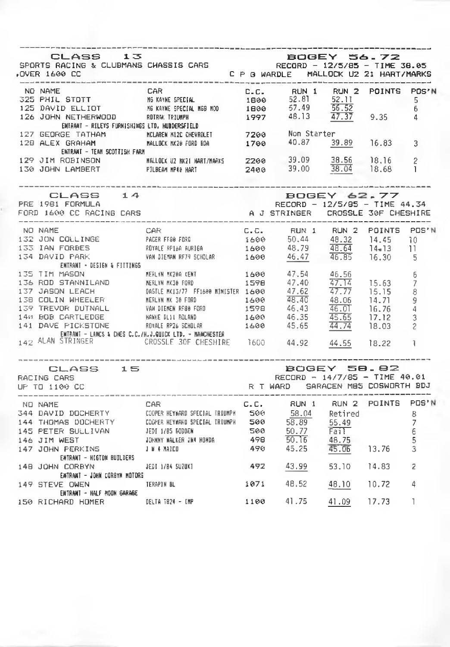| CLASS 13<br>SPORTS RACING & CLUBMANS CHASSIS CARS<br>OVER 1600 CC CLUBMANS CHASSIS CARS CP G WARDLE MALLOCK U2 21 HART/MARKS                                                                                                           |                                        |                                                                                     |             |                                                        |                             |
|----------------------------------------------------------------------------------------------------------------------------------------------------------------------------------------------------------------------------------------|----------------------------------------|-------------------------------------------------------------------------------------|-------------|--------------------------------------------------------|-----------------------------|
| NO NAME<br>325 PHIL STOTT MS KAYNE SPECIAL AND 1 PUINTS POINTS POSTN<br>125 DAVID ELLIOT MS KAYNE SPECIAL MSB MOO 52.81 52.11 5<br>126 JOHN NETHERMOOD ROTRAK TRIUMPH 1997 48.13 47.37 9.35 4<br>137 SECOCOL RIFRAMT - RILEYS FURNISHI |                                        | ---------                                                                           |             |                                                        |                             |
|                                                                                                                                                                                                                                        |                                        |                                                                                     |             |                                                        |                             |
| - селими в постояние на маркетатель<br>127 GEORGE ТАТНАМ - МЕДЯВИ ИЗС СКЕЧЯВЕТ – 7200 Mon Starter<br>12В ALEX GRAHAM - МАЦВСК М20 FORB B9A - 1700 - 40.87 - <u>39.89</u> 16.83<br>ENTRANT - TEAM SCOTTISH FARM                         |                                        |                                                                                     |             |                                                        | 3                           |
| 129 JIM ROBINSON MALLOCK U2 NK2INART/NARKS 2200 39.09 38.56 18.16 2<br>130 JOHN LAMBERT PILBEAM MP18 NART 2400 39.00 38.04 18.68 1                                                                                                     |                                        |                                                                                     |             |                                                        |                             |
| CLASS 14<br>PRE 1981 FORMULA                                                                                                                                                                                                           |                                        | <b>BOGEY 62.77</b><br>RECORD - 12/5/85 - TIME 44.34                                 |             |                                                        |                             |
|                                                                                                                                                                                                                                        |                                        |                                                                                     |             |                                                        |                             |
| NO NAME<br>132 JON COLLINGE PACER FROM THE RESULT ON THE RESULT OF THE RESULT OF THE RESULT OF THE RESULT OF THE RESULT OF THE RESULT OF THE RESULT OF THE RESULT OF THE RESULT OF THE RESULT OF THE RESULT OF THE RESULT OF THE       |                                        |                                                                                     |             |                                                        |                             |
| ENTRANT - DESIGN & FIFTINGS                                                                                                                                                                                                            |                                        |                                                                                     |             |                                                        |                             |
| 2135 TIM MASSIN - BEINN & HELLYN NX286 KENT<br>135 TIM MASSIN LAND NERLYN NX38 FORD 1598 47.40 47.14<br>137 JASON LEACH DASTLE NAIS FORD 1598 47.40 47.77<br>138 COLLIN WHEELER NERLYN NX 38 FORD 1600 47.62 47.77<br>138 COLLIN WHEEL |                                        |                                                                                     |             | $\frac{47.14}{47.77}$ 15.63<br>14.71<br>16.76<br>17.12 | f.<br>7<br>8<br>9<br>4<br>3 |
| 142 ALAN STRINGER CROSSLE 30F CHESHIRE 1600 44.92 44.55 18.22                                                                                                                                                                          |                                        |                                                                                     |             | 18.03                                                  | 2                           |
| <b>CLASS</b> 15<br>RACING CARS<br>UP TO 1100 CC                                                                                                                                                                                        |                                        | ECGEY 58.82<br>RECORD - 14/7/85 - TIME 40.01<br>R T WARD - SARACEN MBS COSWORTH BDJ |             |                                                        |                             |
|                                                                                                                                                                                                                                        |                                        | RUN 1 RUN 2 POINTS POS'N                                                            |             |                                                        | 8<br>7<br>6<br>5<br>3       |
| EMTRANT - HIGTOM BUILDERS<br>148 JOHN CORBYN                                                                                                                                                                                           | JEDI 1/84 SUZUKI 492 43.99 53.10 14.83 |                                                                                     |             |                                                        | 2                           |
| EMTRANT - JOHN CORBYN MOTORS<br>149 STEVE OWEN<br>ENTRANT - HALF MOON SARAGE                                                                                                                                                           | TERAPIN BL                             | 1071 48.52 48.10 10.72                                                              |             |                                                        | 4                           |
| 150 RICHARD HOMER DELTA 1824 - IMP 1100 41.75                                                                                                                                                                                          |                                        |                                                                                     | 41.09 17.73 |                                                        | ı                           |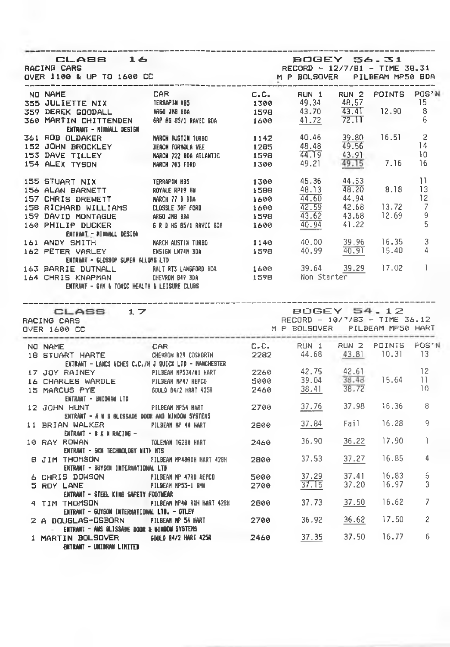| CLA88 16<br>RACING CARS<br>DVER 1100 & UP TO 1600 CC<br>---------------------------------                                                                                                                                                                                                                                                                                                                                                  | <b>BOGEY 56.31</b><br>RECORD - 12/7/81 - TIME 38.31<br>M P BOLSOVER PILBEAM MP50 BDA                                             |              |                                                                        |       |                      |                |
|--------------------------------------------------------------------------------------------------------------------------------------------------------------------------------------------------------------------------------------------------------------------------------------------------------------------------------------------------------------------------------------------------------------------------------------------|----------------------------------------------------------------------------------------------------------------------------------|--------------|------------------------------------------------------------------------|-------|----------------------|----------------|
| NO NAME                                                                                                                                                                                                                                                                                                                                                                                                                                    | <b>CAR</b>                                                                                                                       |              | C.C. RUN 1                                                             |       | RUN 2 POINTS POS'N   |                |
| <b>355 JULIETTE NIX FRAAPIN N85<br/>359 DEREK GOODALL M660 JN8 BDA<br/>360 MARTIN CHITTENDEN 68P HS 85/1 RAVED BDA</b>                                                                                                                                                                                                                                                                                                                     |                                                                                                                                  |              | $1300$ 49.34 48.57<br>1598 43.70 43.41<br>1600 41.72 72.11             |       | $\sim$ 15            |                |
|                                                                                                                                                                                                                                                                                                                                                                                                                                            |                                                                                                                                  |              |                                                                        |       | 12.90                | $_{8}$         |
| ENTRANT - MINNALL DESIGN                                                                                                                                                                                                                                                                                                                                                                                                                   |                                                                                                                                  |              |                                                                        |       |                      | - 6            |
| 361 ROB OLDAKER MARCH AUSTIN TURBO<br>152 JOHN BROCKLEY BEACH FORMULA VEE<br>153 DAVE TILLEY MARCH 722 BDA ATLANTIC<br>154 ALEX TYSON MARCH 703 FORD                                                                                                                                                                                                                                                                                       |                                                                                                                                  |              | $1142$ $40.46$                                                         |       |                      | - 2            |
|                                                                                                                                                                                                                                                                                                                                                                                                                                            |                                                                                                                                  |              |                                                                        |       | 39.80 16.51<br>49.56 | -14            |
|                                                                                                                                                                                                                                                                                                                                                                                                                                            |                                                                                                                                  |              |                                                                        |       |                      | 10             |
|                                                                                                                                                                                                                                                                                                                                                                                                                                            |                                                                                                                                  |              | 1285 48.48 49.56<br>1598 44.19 43.91<br>1300 49.21 49.15 7.16          |       |                      | 16             |
| 155 STUART NIX                                                                                                                                                                                                                                                                                                                                                                                                                             | TERRAPIN MB5<br>ROYALE RP19 VW<br>MARCH 77 B BDA<br>CLOSSLE 30F FORD<br>LLOSSLE 30F FORD                                         |              | 1300 45.36 44.53<br>1588 48.13 48.20 8.18 13<br>1600 44.50 44.94 12 12 |       |                      |                |
| 155 STUART NIX<br>156 ALAN BARNETT<br>157 CHRIS DREWETT                                                                                                                                                                                                                                                                                                                                                                                    |                                                                                                                                  |              |                                                                        |       |                      |                |
|                                                                                                                                                                                                                                                                                                                                                                                                                                            |                                                                                                                                  |              |                                                                        |       |                      |                |
| 158 RICHARD WILLIAMS                                                                                                                                                                                                                                                                                                                                                                                                                       |                                                                                                                                  | 1600         | 42.59                                                                  |       | 42.68 13.72          | $\overline{7}$ |
|                                                                                                                                                                                                                                                                                                                                                                                                                                            | ARGO JMB BDA                                                                                                                     | 1598         | 43.62                                                                  |       | 43.68 12.69          | 9              |
| ENTRANT - HIMMALL DESIGN                                                                                                                                                                                                                                                                                                                                                                                                                   |                                                                                                                                  | 1600         | $\frac{49.94}{40.94}$ 41.22                                            |       |                      | 5              |
|                                                                                                                                                                                                                                                                                                                                                                                                                                            |                                                                                                                                  |              |                                                                        |       |                      |                |
|                                                                                                                                                                                                                                                                                                                                                                                                                                            |                                                                                                                                  | 1578         | 1140 40.00 39.96 16.35 3<br>1578 40.99 40.91 15.40 4                   |       |                      |                |
| ENTRANT - GLOSSOP SUPER ALLOYS LTD                                                                                                                                                                                                                                                                                                                                                                                                         |                                                                                                                                  |              |                                                                        |       |                      |                |
|                                                                                                                                                                                                                                                                                                                                                                                                                                            |                                                                                                                                  |              |                                                                        |       |                      |                |
| ENTRANT - BYK & TOKEC HEALTH & LEISURE CLUBS                                                                                                                                                                                                                                                                                                                                                                                               |                                                                                                                                  |              |                                                                        |       |                      |                |
| CLASS 17                                                                                                                                                                                                                                                                                                                                                                                                                                   |                                                                                                                                  |              | <b>BOGEY 54.12</b><br>RECORD - 10/7/83 - TIME 36.12                    |       |                      |                |
|                                                                                                                                                                                                                                                                                                                                                                                                                                            |                                                                                                                                  |              | M P BOLSQVER PILBEAM MP50 HART                                         |       |                      |                |
|                                                                                                                                                                                                                                                                                                                                                                                                                                            |                                                                                                                                  |              | C.C. RUN 1 RUN 2 POINTS POS'N                                          |       |                      |                |
|                                                                                                                                                                                                                                                                                                                                                                                                                                            |                                                                                                                                  |              | 2282 44.68 43.81 10.31 13                                              |       |                      |                |
|                                                                                                                                                                                                                                                                                                                                                                                                                                            | ENTRANT - LANCS IECHES C.C./H J QUICX LTD - MANCHESTER                                                                           |              |                                                                        |       |                      |                |
|                                                                                                                                                                                                                                                                                                                                                                                                                                            |                                                                                                                                  |              |                                                                        |       |                      | 12             |
|                                                                                                                                                                                                                                                                                                                                                                                                                                            |                                                                                                                                  |              |                                                                        |       | 15.64                | 11             |
|                                                                                                                                                                                                                                                                                                                                                                                                                                            | <b>PILERA MP534/81 HART 2260 42.75 42.61</b><br>PILERAM MP374/81 HART 25000 39.04 38.48<br>BOULD B4/2 HART 425R 2460 38.41 38.72 |              |                                                                        |       |                      | 10             |
| ENTRANT - UNIDRAW LTD                                                                                                                                                                                                                                                                                                                                                                                                                      | PILBEAN NPS4 MART                                                                                                                |              | 2700 37.76 37.98 16.36 8                                               |       |                      |                |
| ENTRANT – A N S GLISSADE DOOR AND MINDOW SYSTEMS                                                                                                                                                                                                                                                                                                                                                                                           |                                                                                                                                  |              |                                                                        |       |                      |                |
|                                                                                                                                                                                                                                                                                                                                                                                                                                            |                                                                                                                                  | 2800         | 37.84 Fail                                                             |       | $16.28$ 9            |                |
| 163 BARRIE DUTNALL MALERT3 (ANGFORD BDA 1600 39.64 39.29 17.02 1<br>164 CHRIS KNAPMAN ENEVRON B49 BDA 159B Non Starter<br>RACING CARS<br>OVER 1600 CC<br>NO NAME<br>18 STUART HARTE CHEVRON B29 COSHDRTH<br>17 JOY RAINEY PILBEAN MP534/01 HART<br>16 CHARLES WARDLE PILBEAN MP47 REPCO<br>16 CHARLES WARDLE<br>15 MARCUS PYE<br>12 JOHN HUNT<br>11 BRIAN WALKER PILBEAN NP 40 HART<br>ENTRANT - B K N RACING -<br>10 RAY ROWAN NO DELL'UN | TOLEMAN 16280 MART 2460 36.90 36.22 17.90                                                                                        |              |                                                                        |       |                      | Ĩ.             |
| ENTRANT - GION TECHNOLOGY NITH HTS                                                                                                                                                                                                                                                                                                                                                                                                         |                                                                                                                                  |              |                                                                        |       |                      |                |
| B JIM THOMSON PILBEAN MP40AXH HART 420H<br>ENTRANT - BUYSON INTERNATIONAL LTD                                                                                                                                                                                                                                                                                                                                                              |                                                                                                                                  | 2800         | 37.53                                                                  | 37.27 | 16.85                | 4              |
|                                                                                                                                                                                                                                                                                                                                                                                                                                            |                                                                                                                                  |              |                                                                        |       | 16.83                | 5              |
| 6 CHRIS DOWSON PILBEAM NP 47RB &EPCO<br>5 ROY LANE PILDEAM MP53-I DMW                                                                                                                                                                                                                                                                                                                                                                      |                                                                                                                                  | 5000<br>2700 | $\frac{37.29}{37.15}$ $\frac{37.41}{37.20}$                            |       | 16.97                | 3              |
| ENTRANT – STEEL KING SAFETY FOOTWEAR                                                                                                                                                                                                                                                                                                                                                                                                       |                                                                                                                                  |              | 37.73 37.50                                                            |       | 16.62                | 7              |
| TIM THOMSON PILBEAM MP46 RIN HART 428H 2800                                                                                                                                                                                                                                                                                                                                                                                                | ENTRANT – GUYSON INTERNATIONAL LTD. – GTLEY                                                                                      |              |                                                                        |       |                      |                |
| 2 A DOUGLAS-OSBORN PILBEAN Nº 54 HART                                                                                                                                                                                                                                                                                                                                                                                                      |                                                                                                                                  |              | 2700 36.92 36.62 17.50                                                 |       |                      | 2              |
| ENTRANT - ANS OLISSADE BOOR & NIMBON SYSTEMS<br>1 MARTIN BOLSDVER 6000 84/2 WAT 425R 2460 37.35 37.50 16.77                                                                                                                                                                                                                                                                                                                                |                                                                                                                                  |              |                                                                        |       |                      | 6              |